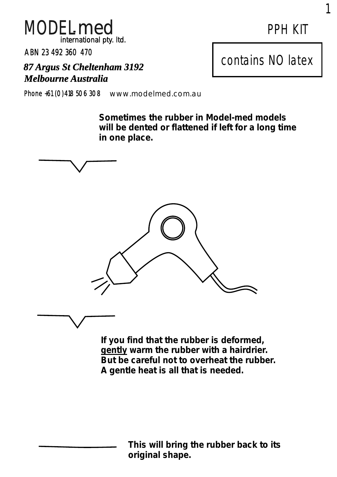

ABN 23 492 360 470

*87 Argus St Cheltenham 3192 Melbourne Australia*

Phone +61 (0)418 506 308 www.modelmed.com.au

**Sometimes the rubber in Model-med models will be dented or flattened if left for a long time in one place.**



**If you find that the rubber is deformed, gently warm the rubber with a hairdrier. But be careful not to overheat the rubber. A gentle heat is all that is needed.**

> **This will bring the rubber back to its original shape.**

1

contains NO latex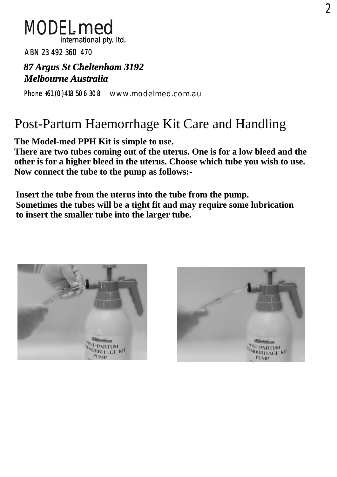

ABN 23 492 360 470

## *87 Argus St Cheltenham 3192 Melbourne Australia*

Phone +61 (0)418 506 308 www.modelmed.com.au

# Post-Partum Haemorrhage Kit Care and Handling

**The Model-med PPH Kit is simple to use.**

**There are two tubes coming out of the uterus. One is for a low bleed and the other is for a higher bleed in the uterus. Choose which tube you wish to use. Now connect the tube to the pump as follows:-**

**Insert the tube from the uterus into the tube from the pump. Sometimes the tubes will be a tight fit and may require some lubrication to insert the smaller tube into the larger tube.**



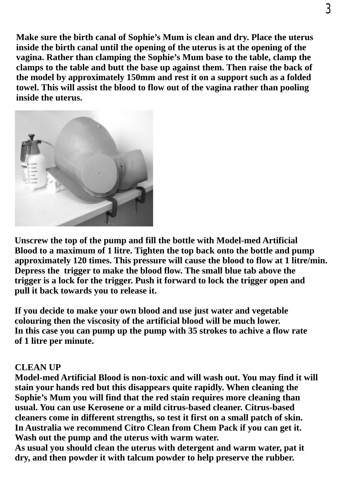**Make sure the birth canal of Sophie's Mum is clean and dry. Place the uterus inside the birth canal until the opening of the uterus is at the opening of the vagina. Rather than clamping the Sophie's Mum base to the table, clamp the clamps to the table and butt the base up against them. Then raise the back of the model by approximately 150mm and rest it on a support such as a folded towel. This will assist the blood to flow out of the vagina rather than pooling inside the uterus.**



**Unscrew the top of the pump and fill the bottle with Model-med Artificial Blood to a maximum of 1 litre. Tighten the top back onto the bottle and pump approximately 120 times. This pressure will cause the blood to flow at 1 litre/min. Depress the trigger to make the blood flow. The small blue tab above the trigger is a lock for the trigger. Push it forward to lock the trigger open and pull it back towards you to release it.**

**If you decide to make your own blood and use just water and vegetable colouring then the viscosity of the artificial blood will be much lower. In this case you can pump up the pump with 35 strokes to achive a flow rate of 1 litre per minute.**

#### **CLEAN UP**

**Model-med Artificial Blood is non-toxic and will wash out. You may find it will stain your hands red but this disappears quite rapidly. When cleaning the Sophie's Mum you will find that the red stain requires more cleaning than usual. You can use Kerosene or a mild citrus-based cleaner. Citrus-based cleaners come in different strengths, so test it first on a small patch of skin. In Australia we recommend Citro Clean from Chem Pack if you can get it. Wash out the pump and the uterus with warm water.**

**As usual you should clean the uterus with detergent and warm water, pat it dry, and then powder it with talcum powder to help preserve the rubber.**